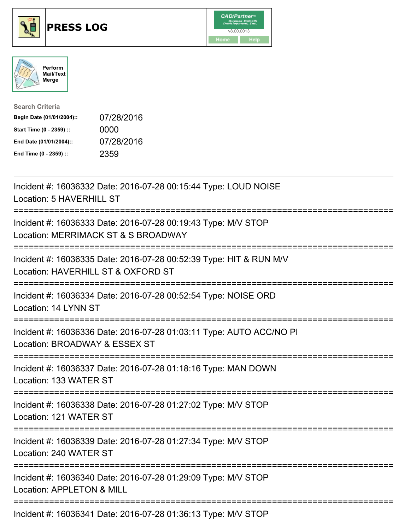





| <b>Search Criteria</b>    |            |
|---------------------------|------------|
| Begin Date (01/01/2004):: | 07/28/2016 |
| Start Time (0 - 2359) ::  | 0000       |
| End Date (01/01/2004)::   | 07/28/2016 |
| End Time (0 - 2359) ::    | 2359       |

| Incident #: 16036332 Date: 2016-07-28 00:15:44 Type: LOUD NOISE<br>Location: 5 HAVERHILL ST                                                |
|--------------------------------------------------------------------------------------------------------------------------------------------|
| Incident #: 16036333 Date: 2016-07-28 00:19:43 Type: M/V STOP<br>Location: MERRIMACK ST & S BROADWAY                                       |
| Incident #: 16036335 Date: 2016-07-28 00:52:39 Type: HIT & RUN M/V<br>Location: HAVERHILL ST & OXFORD ST<br>============================== |
| Incident #: 16036334 Date: 2016-07-28 00:52:54 Type: NOISE ORD<br>Location: 14 LYNN ST                                                     |
| Incident #: 16036336 Date: 2016-07-28 01:03:11 Type: AUTO ACC/NO PI<br>Location: BROADWAY & ESSEX ST<br>=========================          |
| Incident #: 16036337 Date: 2016-07-28 01:18:16 Type: MAN DOWN<br>Location: 133 WATER ST                                                    |
| Incident #: 16036338 Date: 2016-07-28 01:27:02 Type: M/V STOP<br>Location: 121 WATER ST                                                    |
| Incident #: 16036339 Date: 2016-07-28 01:27:34 Type: M/V STOP<br>Location: 240 WATER ST                                                    |
| Incident #: 16036340 Date: 2016-07-28 01:29:09 Type: M/V STOP<br>Location: APPLETON & MILL                                                 |
|                                                                                                                                            |

Incident #: 16036341 Date: 2016-07-28 01:36:13 Type: M/V STOP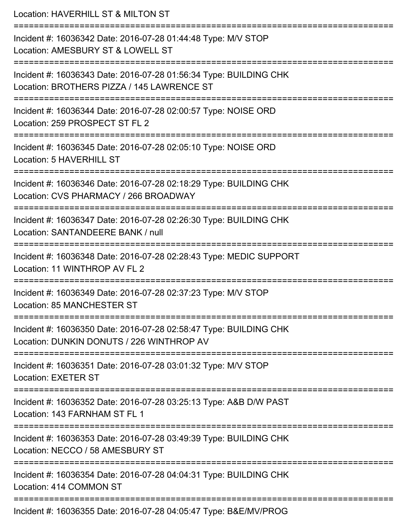Location: HAVERHILL ST & MILTON ST =========================================================================== Incident #: 16036342 Date: 2016-07-28 01:44:48 Type: M/V STOP Location: AMESBURY ST & LOWELL ST =========================================================================== Incident #: 16036343 Date: 2016-07-28 01:56:34 Type: BUILDING CHK Location: BROTHERS PIZZA / 145 LAWRENCE ST =========================================================================== Incident #: 16036344 Date: 2016-07-28 02:00:57 Type: NOISE ORD Location: 259 PROSPECT ST FL 2 =========================================================================== Incident #: 16036345 Date: 2016-07-28 02:05:10 Type: NOISE ORD Location: 5 HAVERHILL ST =========================================================================== Incident #: 16036346 Date: 2016-07-28 02:18:29 Type: BUILDING CHK Location: CVS PHARMACY / 266 BROADWAY =========================================================================== Incident #: 16036347 Date: 2016-07-28 02:26:30 Type: BUILDING CHK Location: SANTANDEERE BANK / null =========================================================================== Incident #: 16036348 Date: 2016-07-28 02:28:43 Type: MEDIC SUPPORT Location: 11 WINTHROP AV FL 2 =========================================================================== Incident #: 16036349 Date: 2016-07-28 02:37:23 Type: M/V STOP Location: 85 MANCHESTER ST =========================================================================== Incident #: 16036350 Date: 2016-07-28 02:58:47 Type: BUILDING CHK Location: DUNKIN DONUTS / 226 WINTHROP AV =========================================================================== Incident #: 16036351 Date: 2016-07-28 03:01:32 Type: M/V STOP Location: EXETER ST =========================================================================== Incident #: 16036352 Date: 2016-07-28 03:25:13 Type: A&B D/W PAST Location: 143 FARNHAM ST FL 1 =========================================================================== Incident #: 16036353 Date: 2016-07-28 03:49:39 Type: BUILDING CHK Location: NECCO / 58 AMESBURY ST =========================================================================== Incident #: 16036354 Date: 2016-07-28 04:04:31 Type: BUILDING CHK Location: 414 COMMON ST =========================================================================== Incident #: 16036355 Date: 2016-07-28 04:05:47 Type: B&E/MV/PROG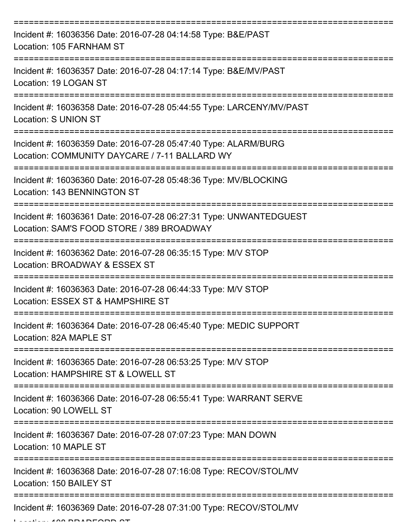| Incident #: 16036356 Date: 2016-07-28 04:14:58 Type: B&E/PAST<br>Location: 105 FARNHAM ST                        |
|------------------------------------------------------------------------------------------------------------------|
| Incident #: 16036357 Date: 2016-07-28 04:17:14 Type: B&E/MV/PAST<br>Location: 19 LOGAN ST                        |
| Incident #: 16036358 Date: 2016-07-28 05:44:55 Type: LARCENY/MV/PAST<br><b>Location: S UNION ST</b>              |
| Incident #: 16036359 Date: 2016-07-28 05:47:40 Type: ALARM/BURG<br>Location: COMMUNITY DAYCARE / 7-11 BALLARD WY |
| Incident #: 16036360 Date: 2016-07-28 05:48:36 Type: MV/BLOCKING<br>Location: 143 BENNINGTON ST                  |
| Incident #: 16036361 Date: 2016-07-28 06:27:31 Type: UNWANTEDGUEST<br>Location: SAM'S FOOD STORE / 389 BROADWAY  |
| Incident #: 16036362 Date: 2016-07-28 06:35:15 Type: M/V STOP<br>Location: BROADWAY & ESSEX ST                   |
| Incident #: 16036363 Date: 2016-07-28 06:44:33 Type: M/V STOP<br>Location: ESSEX ST & HAMPSHIRE ST               |
| Incident #: 16036364 Date: 2016-07-28 06:45:40 Type: MEDIC SUPPORT<br>Location: 82A MAPLE ST                     |
| Incident #: 16036365 Date: 2016-07-28 06:53:25 Type: M/V STOP<br>Location: HAMPSHIRE ST & LOWELL ST              |
| Incident #: 16036366 Date: 2016-07-28 06:55:41 Type: WARRANT SERVE<br>Location: 90 LOWELL ST                     |
| Incident #: 16036367 Date: 2016-07-28 07:07:23 Type: MAN DOWN<br>Location: 10 MAPLE ST                           |
| Incident #: 16036368 Date: 2016-07-28 07:16:08 Type: RECOV/STOL/MV<br>Location: 150 BAILEY ST                    |
| Incident #: 16036369 Date: 2016-07-28 07:31:00 Type: RECOV/STOL/MV                                               |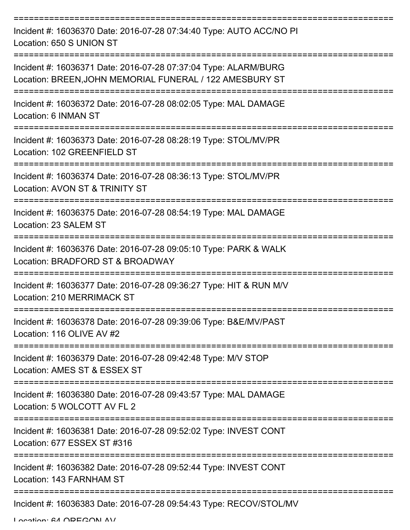| Incident #: 16036370 Date: 2016-07-28 07:34:40 Type: AUTO ACC/NO PI<br>Location: 650 S UNION ST                             |
|-----------------------------------------------------------------------------------------------------------------------------|
| Incident #: 16036371 Date: 2016-07-28 07:37:04 Type: ALARM/BURG<br>Location: BREEN, JOHN MEMORIAL FUNERAL / 122 AMESBURY ST |
| Incident #: 16036372 Date: 2016-07-28 08:02:05 Type: MAL DAMAGE<br>Location: 6 INMAN ST                                     |
| Incident #: 16036373 Date: 2016-07-28 08:28:19 Type: STOL/MV/PR<br>Location: 102 GREENFIELD ST                              |
| Incident #: 16036374 Date: 2016-07-28 08:36:13 Type: STOL/MV/PR<br>Location: AVON ST & TRINITY ST                           |
| Incident #: 16036375 Date: 2016-07-28 08:54:19 Type: MAL DAMAGE<br>Location: 23 SALEM ST                                    |
| Incident #: 16036376 Date: 2016-07-28 09:05:10 Type: PARK & WALK<br>Location: BRADFORD ST & BROADWAY                        |
| Incident #: 16036377 Date: 2016-07-28 09:36:27 Type: HIT & RUN M/V<br>Location: 210 MERRIMACK ST                            |
| Incident #: 16036378 Date: 2016-07-28 09:39:06 Type: B&E/MV/PAST<br>Location: 116 OLIVE AV #2                               |
| Incident #: 16036379 Date: 2016-07-28 09:42:48 Type: M/V STOP<br>Location: AMES ST & ESSEX ST                               |
| Incident #: 16036380 Date: 2016-07-28 09:43:57 Type: MAL DAMAGE<br>Location: 5 WOLCOTT AV FL 2                              |
| Incident #: 16036381 Date: 2016-07-28 09:52:02 Type: INVEST CONT<br>Location: 677 ESSEX ST #316                             |
| Incident #: 16036382 Date: 2016-07-28 09:52:44 Type: INVEST CONT<br>Location: 143 FARNHAM ST                                |
| Incident #: 16036383 Date: 2016-07-28 09:54:43 Type: RECOV/STOL/MV                                                          |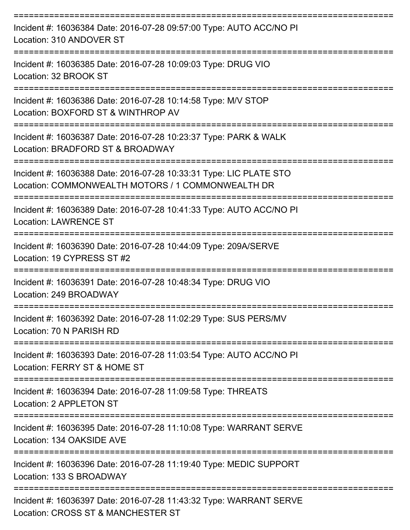| Incident #: 16036384 Date: 2016-07-28 09:57:00 Type: AUTO ACC/NO PI<br>Location: 310 ANDOVER ST                         |
|-------------------------------------------------------------------------------------------------------------------------|
| Incident #: 16036385 Date: 2016-07-28 10:09:03 Type: DRUG VIO<br>Location: 32 BROOK ST                                  |
| Incident #: 16036386 Date: 2016-07-28 10:14:58 Type: M/V STOP<br>Location: BOXFORD ST & WINTHROP AV                     |
| Incident #: 16036387 Date: 2016-07-28 10:23:37 Type: PARK & WALK<br>Location: BRADFORD ST & BROADWAY                    |
| Incident #: 16036388 Date: 2016-07-28 10:33:31 Type: LIC PLATE STO<br>Location: COMMONWEALTH MOTORS / 1 COMMONWEALTH DR |
| Incident #: 16036389 Date: 2016-07-28 10:41:33 Type: AUTO ACC/NO PI<br><b>Location: LAWRENCE ST</b>                     |
| Incident #: 16036390 Date: 2016-07-28 10:44:09 Type: 209A/SERVE<br>Location: 19 CYPRESS ST #2                           |
| Incident #: 16036391 Date: 2016-07-28 10:48:34 Type: DRUG VIO<br>Location: 249 BROADWAY                                 |
| Incident #: 16036392 Date: 2016-07-28 11:02:29 Type: SUS PERS/MV<br>Location: 70 N PARISH RD                            |
| ----------------<br>Incident #: 16036393 Date: 2016-07-28 11:03:54 Type: AUTO ACC/NO PI<br>Location: FERRY ST & HOME ST |
| Incident #: 16036394 Date: 2016-07-28 11:09:58 Type: THREATS<br>Location: 2 APPLETON ST                                 |
| Incident #: 16036395 Date: 2016-07-28 11:10:08 Type: WARRANT SERVE<br>Location: 134 OAKSIDE AVE                         |
| Incident #: 16036396 Date: 2016-07-28 11:19:40 Type: MEDIC SUPPORT<br>Location: 133 S BROADWAY                          |
| Incident #: 16036397 Date: 2016-07-28 11:43:32 Type: WARRANT SERVE<br>Location: CROSS ST & MANCHESTER ST                |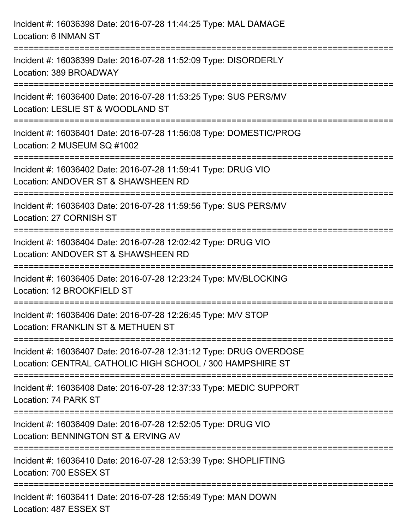| Incident #: 16036398 Date: 2016-07-28 11:44:25 Type: MAL DAMAGE<br>Location: 6 INMAN ST                                         |
|---------------------------------------------------------------------------------------------------------------------------------|
| Incident #: 16036399 Date: 2016-07-28 11:52:09 Type: DISORDERLY<br>Location: 389 BROADWAY                                       |
| Incident #: 16036400 Date: 2016-07-28 11:53:25 Type: SUS PERS/MV<br>Location: LESLIE ST & WOODLAND ST                           |
| Incident #: 16036401 Date: 2016-07-28 11:56:08 Type: DOMESTIC/PROG<br>Location: 2 MUSEUM SQ #1002                               |
| Incident #: 16036402 Date: 2016-07-28 11:59:41 Type: DRUG VIO<br>Location: ANDOVER ST & SHAWSHEEN RD                            |
| Incident #: 16036403 Date: 2016-07-28 11:59:56 Type: SUS PERS/MV<br>Location: 27 CORNISH ST                                     |
| Incident #: 16036404 Date: 2016-07-28 12:02:42 Type: DRUG VIO<br>Location: ANDOVER ST & SHAWSHEEN RD                            |
| Incident #: 16036405 Date: 2016-07-28 12:23:24 Type: MV/BLOCKING<br>Location: 12 BROOKFIELD ST                                  |
| Incident #: 16036406 Date: 2016-07-28 12:26:45 Type: M/V STOP<br>Location: FRANKLIN ST & METHUEN ST                             |
| Incident #: 16036407 Date: 2016-07-28 12:31:12 Type: DRUG OVERDOSE<br>Location: CENTRAL CATHOLIC HIGH SCHOOL / 300 HAMPSHIRE ST |
| Incident #: 16036408 Date: 2016-07-28 12:37:33 Type: MEDIC SUPPORT<br>Location: 74 PARK ST                                      |
| Incident #: 16036409 Date: 2016-07-28 12:52:05 Type: DRUG VIO<br>Location: BENNINGTON ST & ERVING AV                            |
| Incident #: 16036410 Date: 2016-07-28 12:53:39 Type: SHOPLIFTING<br>Location: 700 ESSEX ST                                      |
| Incident #: 16036411 Date: 2016-07-28 12:55:49 Type: MAN DOWN<br>Location: 487 ESSEX ST                                         |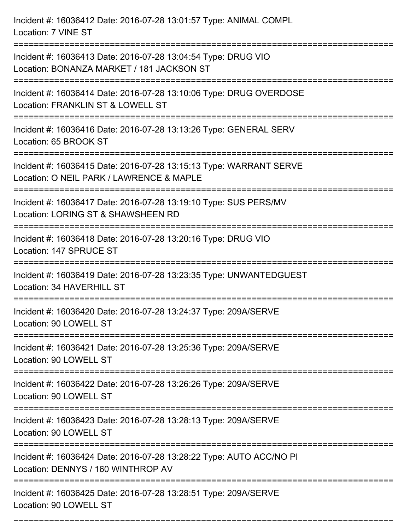| Incident #: 16036412 Date: 2016-07-28 13:01:57 Type: ANIMAL COMPL<br>Location: 7 VINE ST                                                   |
|--------------------------------------------------------------------------------------------------------------------------------------------|
| Incident #: 16036413 Date: 2016-07-28 13:04:54 Type: DRUG VIO<br>Location: BONANZA MARKET / 181 JACKSON ST                                 |
| Incident #: 16036414 Date: 2016-07-28 13:10:06 Type: DRUG OVERDOSE<br>Location: FRANKLIN ST & LOWELL ST<br>:=============================  |
| Incident #: 16036416 Date: 2016-07-28 13:13:26 Type: GENERAL SERV<br>Location: 65 BROOK ST                                                 |
| Incident #: 16036415 Date: 2016-07-28 13:15:13 Type: WARRANT SERVE<br>Location: O NEIL PARK / LAWRENCE & MAPLE<br>------------------------ |
| Incident #: 16036417 Date: 2016-07-28 13:19:10 Type: SUS PERS/MV<br>Location: LORING ST & SHAWSHEEN RD                                     |
| Incident #: 16036418 Date: 2016-07-28 13:20:16 Type: DRUG VIO<br>Location: 147 SPRUCE ST                                                   |
| Incident #: 16036419 Date: 2016-07-28 13:23:35 Type: UNWANTEDGUEST<br>Location: 34 HAVERHILL ST                                            |
| Incident #: 16036420 Date: 2016-07-28 13:24:37 Type: 209A/SERVE<br>Location: 90 LOWELL ST                                                  |
| Incident #: 16036421 Date: 2016-07-28 13:25:36 Type: 209A/SERVE<br>Location: 90 LOWELL ST                                                  |
| Incident #: 16036422 Date: 2016-07-28 13:26:26 Type: 209A/SERVE<br>Location: 90 LOWELL ST                                                  |
| Incident #: 16036423 Date: 2016-07-28 13:28:13 Type: 209A/SERVE<br>Location: 90 LOWELL ST                                                  |
| Incident #: 16036424 Date: 2016-07-28 13:28:22 Type: AUTO ACC/NO PI<br>Location: DENNYS / 160 WINTHROP AV                                  |
| Incident #: 16036425 Date: 2016-07-28 13:28:51 Type: 209A/SERVE<br>Location: 90 LOWELL ST                                                  |

===========================================================================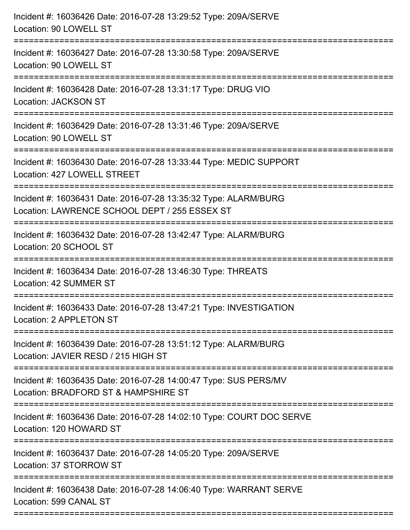| Incident #: 16036426 Date: 2016-07-28 13:29:52 Type: 209A/SERVE<br>Location: 90 LOWELL ST                                                 |
|-------------------------------------------------------------------------------------------------------------------------------------------|
| Incident #: 16036427 Date: 2016-07-28 13:30:58 Type: 209A/SERVE<br>Location: 90 LOWELL ST                                                 |
| Incident #: 16036428 Date: 2016-07-28 13:31:17 Type: DRUG VIO<br><b>Location: JACKSON ST</b><br>=========================                 |
| Incident #: 16036429 Date: 2016-07-28 13:31:46 Type: 209A/SERVE<br>Location: 90 LOWELL ST                                                 |
| Incident #: 16036430 Date: 2016-07-28 13:33:44 Type: MEDIC SUPPORT<br>Location: 427 LOWELL STREET                                         |
| Incident #: 16036431 Date: 2016-07-28 13:35:32 Type: ALARM/BURG<br>Location: LAWRENCE SCHOOL DEPT / 255 ESSEX ST<br>:==================== |
| Incident #: 16036432 Date: 2016-07-28 13:42:47 Type: ALARM/BURG<br>Location: 20 SCHOOL ST<br>------------------------------               |
| Incident #: 16036434 Date: 2016-07-28 13:46:30 Type: THREATS<br>Location: 42 SUMMER ST                                                    |
| Incident #: 16036433 Date: 2016-07-28 13:47:21 Type: INVESTIGATION<br>Location: 2 APPLETON ST                                             |
| Incident #: 16036439 Date: 2016-07-28 13:51:12 Type: ALARM/BURG<br>Location: JAVIER RESD / 215 HIGH ST                                    |
| Incident #: 16036435 Date: 2016-07-28 14:00:47 Type: SUS PERS/MV<br>Location: BRADFORD ST & HAMPSHIRE ST                                  |
| Incident #: 16036436 Date: 2016-07-28 14:02:10 Type: COURT DOC SERVE<br>Location: 120 HOWARD ST                                           |
| Incident #: 16036437 Date: 2016-07-28 14:05:20 Type: 209A/SERVE<br>Location: 37 STORROW ST                                                |
| Incident #: 16036438 Date: 2016-07-28 14:06:40 Type: WARRANT SERVE<br>Location: 599 CANAL ST                                              |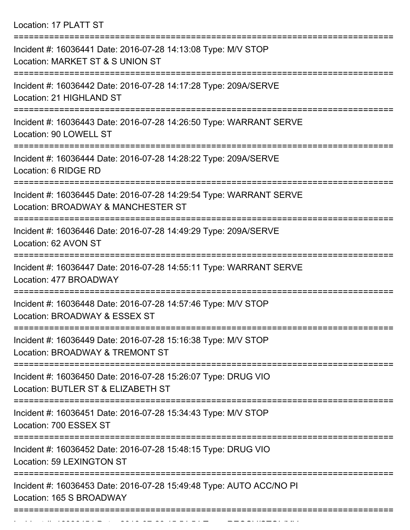Location: 17 PLATT ST

| Incident #: 16036441 Date: 2016-07-28 14:13:08 Type: M/V STOP<br>Location: MARKET ST & S UNION ST        |
|----------------------------------------------------------------------------------------------------------|
| Incident #: 16036442 Date: 2016-07-28 14:17:28 Type: 209A/SERVE<br>Location: 21 HIGHLAND ST              |
| Incident #: 16036443 Date: 2016-07-28 14:26:50 Type: WARRANT SERVE<br>Location: 90 LOWELL ST             |
| Incident #: 16036444 Date: 2016-07-28 14:28:22 Type: 209A/SERVE<br>Location: 6 RIDGE RD                  |
| Incident #: 16036445 Date: 2016-07-28 14:29:54 Type: WARRANT SERVE<br>Location: BROADWAY & MANCHESTER ST |
| Incident #: 16036446 Date: 2016-07-28 14:49:29 Type: 209A/SERVE<br>Location: 62 AVON ST                  |
| Incident #: 16036447 Date: 2016-07-28 14:55:11 Type: WARRANT SERVE<br>Location: 477 BROADWAY             |
| Incident #: 16036448 Date: 2016-07-28 14:57:46 Type: M/V STOP<br>Location: BROADWAY & ESSEX ST           |
| Incident #: 16036449 Date: 2016-07-28 15:16:38 Type: M/V STOP<br>Location: BROADWAY & TREMONT ST         |
| Incident #: 16036450 Date: 2016-07-28 15:26:07 Type: DRUG VIO<br>Location: BUTLER ST & ELIZABETH ST      |
| Incident #: 16036451 Date: 2016-07-28 15:34:43 Type: M/V STOP<br>Location: 700 ESSEX ST                  |
| Incident #: 16036452 Date: 2016-07-28 15:48:15 Type: DRUG VIO<br>Location: 59 LEXINGTON ST               |
| Incident #: 16036453 Date: 2016-07-28 15:49:48 Type: AUTO ACC/NO PI<br>Location: 165 S BROADWAY          |
|                                                                                                          |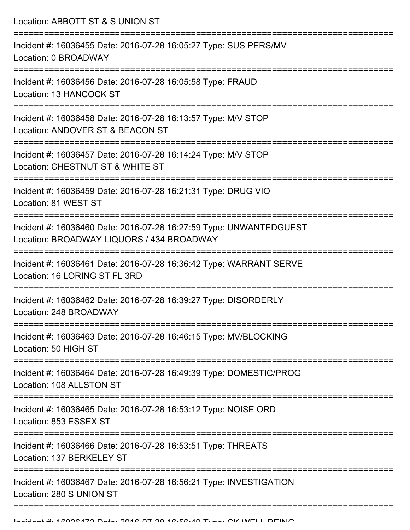Location: ABBOTT ST & S UNION ST

| Incident #: 16036455 Date: 2016-07-28 16:05:27 Type: SUS PERS/MV<br>Location: 0 BROADWAY                        |
|-----------------------------------------------------------------------------------------------------------------|
| Incident #: 16036456 Date: 2016-07-28 16:05:58 Type: FRAUD<br>Location: 13 HANCOCK ST                           |
| Incident #: 16036458 Date: 2016-07-28 16:13:57 Type: M/V STOP<br>Location: ANDOVER ST & BEACON ST               |
| Incident #: 16036457 Date: 2016-07-28 16:14:24 Type: M/V STOP<br>Location: CHESTNUT ST & WHITE ST               |
| Incident #: 16036459 Date: 2016-07-28 16:21:31 Type: DRUG VIO<br>Location: 81 WEST ST                           |
| Incident #: 16036460 Date: 2016-07-28 16:27:59 Type: UNWANTEDGUEST<br>Location: BROADWAY LIQUORS / 434 BROADWAY |
| Incident #: 16036461 Date: 2016-07-28 16:36:42 Type: WARRANT SERVE<br>Location: 16 LORING ST FL 3RD             |
| Incident #: 16036462 Date: 2016-07-28 16:39:27 Type: DISORDERLY<br>Location: 248 BROADWAY                       |
| Incident #: 16036463 Date: 2016-07-28 16:46:15 Type: MV/BLOCKING<br>Location: 50 HIGH ST                        |
| Incident #: 16036464 Date: 2016-07-28 16:49:39 Type: DOMESTIC/PROG<br>Location: 108 ALLSTON ST                  |
| Incident #: 16036465 Date: 2016-07-28 16:53:12 Type: NOISE ORD<br>Location: 853 ESSEX ST                        |
| Incident #: 16036466 Date: 2016-07-28 16:53:51 Type: THREATS<br>Location: 137 BERKELEY ST                       |
| Incident #: 16036467 Date: 2016-07-28 16:56:21 Type: INVESTIGATION<br>Location: 280 S UNION ST                  |
|                                                                                                                 |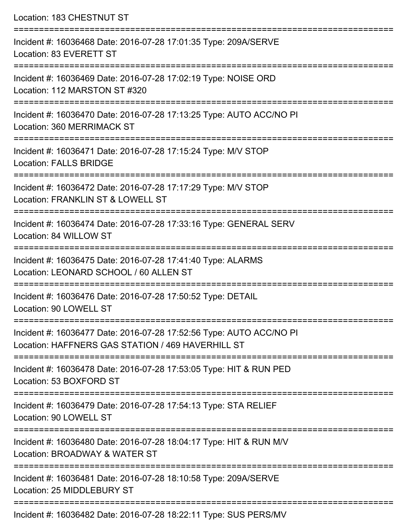| Location: 183 CHESTNUT ST                                                                                                |
|--------------------------------------------------------------------------------------------------------------------------|
| Incident #: 16036468 Date: 2016-07-28 17:01:35 Type: 209A/SERVE<br>Location: 83 EVERETT ST                               |
| Incident #: 16036469 Date: 2016-07-28 17:02:19 Type: NOISE ORD<br>Location: 112 MARSTON ST #320                          |
| Incident #: 16036470 Date: 2016-07-28 17:13:25 Type: AUTO ACC/NO PI<br>Location: 360 MERRIMACK ST                        |
| Incident #: 16036471 Date: 2016-07-28 17:15:24 Type: M/V STOP<br>Location: FALLS BRIDGE                                  |
| Incident #: 16036472 Date: 2016-07-28 17:17:29 Type: M/V STOP<br>Location: FRANKLIN ST & LOWELL ST                       |
| Incident #: 16036474 Date: 2016-07-28 17:33:16 Type: GENERAL SERV<br>Location: 84 WILLOW ST                              |
| Incident #: 16036475 Date: 2016-07-28 17:41:40 Type: ALARMS<br>Location: LEONARD SCHOOL / 60 ALLEN ST                    |
| Incident #: 16036476 Date: 2016-07-28 17:50:52 Type: DETAIL<br>Location: 90 LOWELL ST                                    |
| Incident #: 16036477 Date: 2016-07-28 17:52:56 Type: AUTO ACC/NO PI<br>Location: HAFFNERS GAS STATION / 469 HAVERHILL ST |
| Incident #: 16036478 Date: 2016-07-28 17:53:05 Type: HIT & RUN PED<br>Location: 53 BOXFORD ST                            |
| Incident #: 16036479 Date: 2016-07-28 17:54:13 Type: STA RELIEF<br>Location: 90 LOWELL ST                                |
| Incident #: 16036480 Date: 2016-07-28 18:04:17 Type: HIT & RUN M/V<br>Location: BROADWAY & WATER ST                      |
| Incident #: 16036481 Date: 2016-07-28 18:10:58 Type: 209A/SERVE<br>Location: 25 MIDDLEBURY ST                            |
|                                                                                                                          |

Incident #: 16036482 Date: 2016-07-28 18:22:11 Type: SUS PERS/MV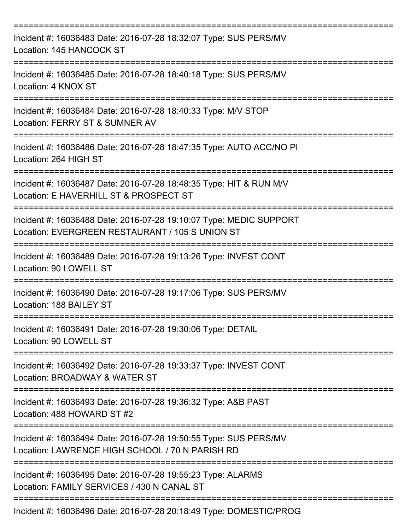| Incident #: 16036483 Date: 2016-07-28 18:32:07 Type: SUS PERS/MV<br>Location: 145 HANCOCK ST                           |
|------------------------------------------------------------------------------------------------------------------------|
| Incident #: 16036485 Date: 2016-07-28 18:40:18 Type: SUS PERS/MV<br>Location: 4 KNOX ST                                |
| Incident #: 16036484 Date: 2016-07-28 18:40:33 Type: M/V STOP<br>Location: FERRY ST & SUMNER AV                        |
| Incident #: 16036486 Date: 2016-07-28 18:47:35 Type: AUTO ACC/NO PI<br>Location: 264 HIGH ST                           |
| Incident #: 16036487 Date: 2016-07-28 18:48:35 Type: HIT & RUN M/V<br>Location: E HAVERHILL ST & PROSPECT ST           |
| Incident #: 16036488 Date: 2016-07-28 19:10:07 Type: MEDIC SUPPORT<br>Location: EVERGREEN RESTAURANT / 105 S UNION ST  |
| Incident #: 16036489 Date: 2016-07-28 19:13:26 Type: INVEST CONT<br>Location: 90 LOWELL ST                             |
| Incident #: 16036490 Date: 2016-07-28 19:17:06 Type: SUS PERS/MV<br>Location: 188 BAILEY ST                            |
| Incident #: 16036491 Date: 2016-07-28 19:30:06 Type: DETAIL<br>Location: 90 LOWELL ST                                  |
| :================<br>Incident #: 16036492 Date: 2016-07-28 19:33:37 Type: INVEST CONT<br>Location: BROADWAY & WATER ST |
| Incident #: 16036493 Date: 2016-07-28 19:36:32 Type: A&B PAST<br>Location: 488 HOWARD ST #2                            |
| Incident #: 16036494 Date: 2016-07-28 19:50:55 Type: SUS PERS/MV<br>Location: LAWRENCE HIGH SCHOOL / 70 N PARISH RD    |
| Incident #: 16036495 Date: 2016-07-28 19:55:23 Type: ALARMS<br>Location: FAMILY SERVICES / 430 N CANAL ST              |
| Incident #: 16036496 Date: 2016-07-28 20:18:49 Type: DOMESTIC/PROG                                                     |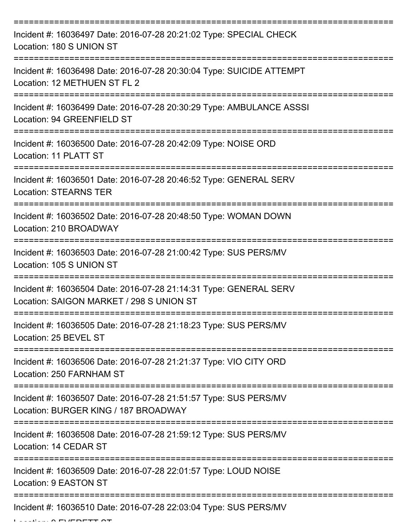| Incident #: 16036497 Date: 2016-07-28 20:21:02 Type: SPECIAL CHECK<br>Location: 180 S UNION ST                      |
|---------------------------------------------------------------------------------------------------------------------|
| Incident #: 16036498 Date: 2016-07-28 20:30:04 Type: SUICIDE ATTEMPT<br>Location: 12 METHUEN ST FL 2                |
| Incident #: 16036499 Date: 2016-07-28 20:30:29 Type: AMBULANCE ASSSI<br>Location: 94 GREENFIELD ST                  |
| Incident #: 16036500 Date: 2016-07-28 20:42:09 Type: NOISE ORD<br>Location: 11 PLATT ST                             |
| Incident #: 16036501 Date: 2016-07-28 20:46:52 Type: GENERAL SERV<br><b>Location: STEARNS TER</b>                   |
| Incident #: 16036502 Date: 2016-07-28 20:48:50 Type: WOMAN DOWN<br>Location: 210 BROADWAY                           |
| Incident #: 16036503 Date: 2016-07-28 21:00:42 Type: SUS PERS/MV<br>Location: 105 S UNION ST<br>:================== |
| Incident #: 16036504 Date: 2016-07-28 21:14:31 Type: GENERAL SERV<br>Location: SAIGON MARKET / 298 S UNION ST       |
| Incident #: 16036505 Date: 2016-07-28 21:18:23 Type: SUS PERS/MV<br>Location: 25 BEVEL ST                           |
| Incident #: 16036506 Date: 2016-07-28 21:21:37 Type: VIO CITY ORD<br>Location: 250 FARNHAM ST                       |
| Incident #: 16036507 Date: 2016-07-28 21:51:57 Type: SUS PERS/MV<br>Location: BURGER KING / 187 BROADWAY            |
| Incident #: 16036508 Date: 2016-07-28 21:59:12 Type: SUS PERS/MV<br>Location: 14 CEDAR ST                           |
| Incident #: 16036509 Date: 2016-07-28 22:01:57 Type: LOUD NOISE<br>Location: 9 EASTON ST                            |
| Incident #: 16036510 Date: 2016-07-28 22:03:04 Type: SUS PERS/MV                                                    |